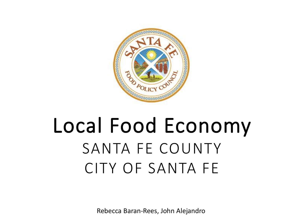

## Local Food Economy SANTA FE COUNTY CITY OF SANTA FE

Rebecca Baran-Rees, John Alejandro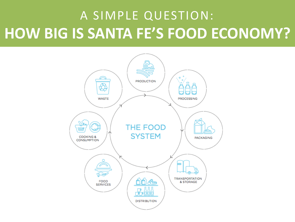### A SIMPLE QUESTION: **HOW BIG IS SANTA FE'S FOOD ECONOMY?**

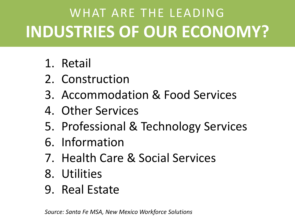### WHAT ARE THE LEADING **INDUSTRIES OF OUR ECONOMY?**

- 1. Retail
- 2. Construction
- 3. Accommodation & Food Services
- 4. Other Services
- 5. Professional & Technology Services
- 6. Information
- 7. Health Care & Social Services
- 8. Utilities
- 9. Real Estate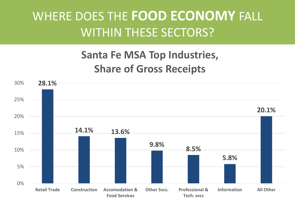### WHERE DOES THE **FOOD ECONOMY** FALL WITHIN THESE SECTORS?

#### **Santa Fe MSA Top Industries, Share of Gross Receipts**

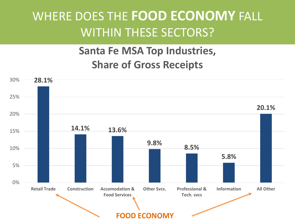### WHERE DOES THE **FOOD ECONOMY** FALL WITHIN THESE SECTORS?

#### **Santa Fe MSA Top Industries, Share of Gross Receipts**

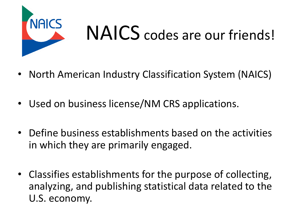

# NAICS codes are our friends!

- North American Industry Classification System (NAICS)
- Used on business license/NM CRS applications.
- Define business establishments based on the activities in which they are primarily engaged.
- Classifies establishments for the purpose of collecting, analyzing, and publishing statistical data related to the U.S. economy.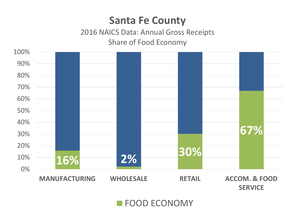#### **Santa Fe County**

#### 2016 NAICS Data: Annual Gross Receipts Share of Food Economy



**FOOD ECONOMY**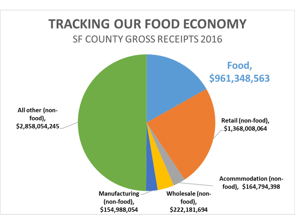#### **TRACKING OUR FOOD ECONOMY SF COUNTY GROSS RECEIPTS 2016**

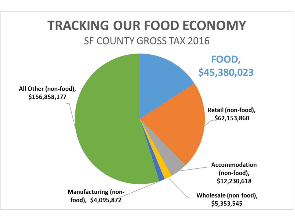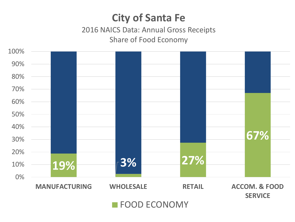#### **City of Santa Fe**

2016 NAICS Data: Annual Gross Receipts Share of Food Economy

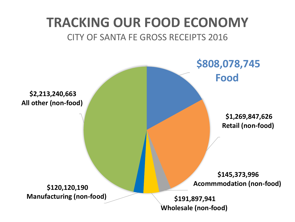#### **TRACKING OUR FOOD ECONOMY** CITY OF SANTA FE GROSS RECEIPTS 2016

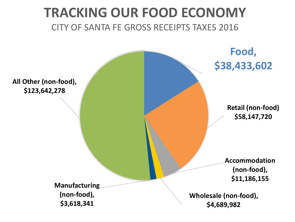#### **TRACKING OUR FOOD ECONOMY** CITY OF SANTA FE GROSS RECEIPTS TAXES 2016

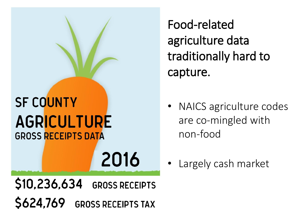### **SF COUNTY AGRICULTURE GROSS RECEIPTS DATA**

Food-related agriculture data traditionally hard to capture.

- NAICS agriculture codes are co-mingled with non-food
- Largely cash market

\$10,236,634 **GROSS RECEIPTS** \$624,769 GROSS RECEIPTS TAX

2016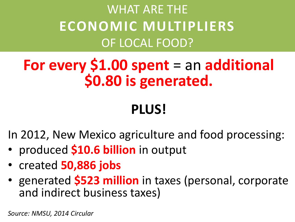### WHAT ARE THE **ECONOMIC MULTIPLIERS**  OF LOCAL FOOD?

### **For every \$1.00 spent** = an **additional \$0.80 is generated.**

### **PLUS!**

In 2012, New Mexico agriculture and food processing:

- produced **\$10.6 billion** in output
- created **50,886 jobs**
- generated **\$523 million** in taxes (personal, corporate and indirect business taxes)

*Source: NMSU, 2014 Circular*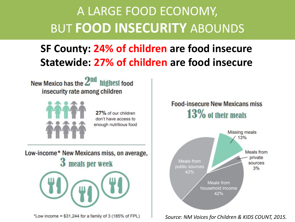### A LARGE FOOD ECONOMY, BUT **FOOD INSECURITY** ABOUNDS

#### **SF County: 24% of children are food insecure Statewide: 27% of children are food insecure**

New Mexico has the 2<sup>nd</sup> highest food insecurity rate among children



27% of our children don't have access to enough nutritious food

Low-income\* New Mexicans miss, on average, 3 meals per week



\*Low income = \$31,244 for a family of 3 (185% of FPL)

#### **Food-insecure New Mexicans miss** 13% of their meals



#### *Source: NM Voices for Children & KIDS COUNT, 2015.*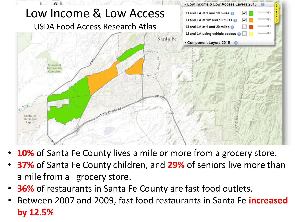

- **10%** of Santa Fe County lives a mile or more from a grocery store.
- **37%** of Santa Fe County children, and **29%** of seniors live more than a mile from a grocery store.
- **36%** of restaurants in Santa Fe County are fast food outlets.
- Between 2007 and 2009, fast food restaurants in Santa Fe **increased by 12.5%**